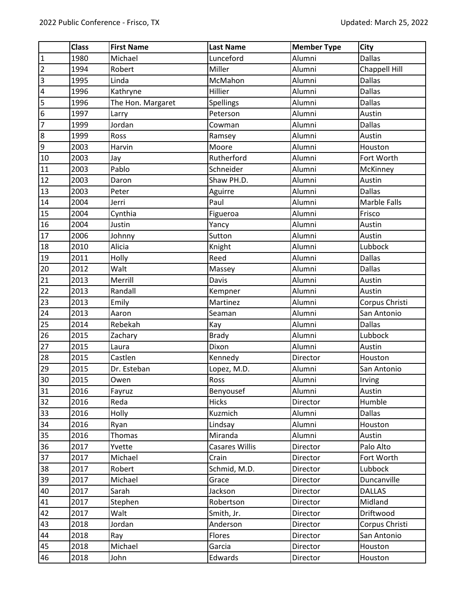|                         | <b>Class</b> | <b>First Name</b> | <b>Last Name</b>      | <b>Member Type</b> | <b>City</b>    |
|-------------------------|--------------|-------------------|-----------------------|--------------------|----------------|
| $\mathbf{1}$            | 1980         | Michael           | Lunceford             | Alumni             | <b>Dallas</b>  |
| $\overline{2}$          | 1994         | Robert            | Miller                | Alumni             | Chappell Hill  |
| $\overline{\mathbf{3}}$ | 1995         | Linda             | McMahon               | Alumni             | <b>Dallas</b>  |
| 4                       | 1996         | Kathryne          | Hillier               | Alumni             | <b>Dallas</b>  |
| 5                       | 1996         | The Hon. Margaret | Spellings             | Alumni             | <b>Dallas</b>  |
| $\boldsymbol{6}$        | 1997         | Larry             | Peterson              | Alumni             | Austin         |
| $\overline{7}$          | 1999         | Jordan            | Cowman                | Alumni             | <b>Dallas</b>  |
| $\bf 8$                 | 1999         | Ross              | Ramsey                | Alumni             | Austin         |
| 9                       | 2003         | Harvin            | Moore                 | Alumni             | Houston        |
| 10                      | 2003         | Jay               | Rutherford            | Alumni             | Fort Worth     |
| 11                      | 2003         | Pablo             | Schneider             | Alumni             | McKinney       |
| 12                      | 2003         | Daron             | Shaw PH.D.            | Alumni             | Austin         |
| 13                      | 2003         | Peter             | Aguirre               | Alumni             | <b>Dallas</b>  |
| 14                      | 2004         | Jerri             | Paul                  | Alumni             | Marble Falls   |
| 15                      | 2004         | Cynthia           | Figueroa              | Alumni             | Frisco         |
| 16                      | 2004         | Justin            | Yancy                 | Alumni             | Austin         |
| 17                      | 2006         | Johnny            | Sutton                | Alumni             | Austin         |
| 18                      | 2010         | Alicia            | Knight                | Alumni             | Lubbock        |
| 19                      | 2011         | Holly             | Reed                  | Alumni             | <b>Dallas</b>  |
| 20                      | 2012         | Walt              | Massey                | Alumni             | <b>Dallas</b>  |
| 21                      | 2013         | Merrill           | Davis                 | Alumni             | Austin         |
| 22                      | 2013         | Randall           | Kempner               | Alumni             | Austin         |
| 23                      | 2013         | Emily             | Martinez              | Alumni             | Corpus Christi |
| 24                      | 2013         | Aaron             | Seaman                | Alumni             | San Antonio    |
| 25                      | 2014         | Rebekah           | Kay                   | Alumni             | <b>Dallas</b>  |
| 26                      | 2015         | Zachary           | <b>Brady</b>          | Alumni             | Lubbock        |
| 27                      | 2015         | Laura             | Dixon                 | Alumni             | Austin         |
| 28                      | 2015         | Castlen           | Kennedy               | Director           | Houston        |
| 29                      | 2015         | Dr. Esteban       | Lopez, M.D.           | Alumni             | San Antonio    |
| 30                      | 2015         | Owen              | Ross                  | Alumni             | Irving         |
| 31                      | 2016         | Fayruz            | Benyousef             | Alumni             | Austin         |
| 32                      | 2016         | Reda              | <b>Hicks</b>          | Director           | Humble         |
| 33                      | 2016         | Holly             | Kuzmich               | Alumni             | <b>Dallas</b>  |
| 34                      | 2016         | Ryan              | Lindsay               | Alumni             | Houston        |
| 35                      | 2016         | <b>Thomas</b>     | Miranda               | Alumni             | Austin         |
| 36                      | 2017         | Yvette            | <b>Casares Willis</b> | Director           | Palo Alto      |
| 37                      | 2017         | Michael           | Crain                 | Director           | Fort Worth     |
| 38                      | 2017         | Robert            | Schmid, M.D.          | Director           | Lubbock        |
| 39                      | 2017         | Michael           | Grace                 | Director           | Duncanville    |
| 40                      | 2017         | Sarah             | Jackson               | Director           | <b>DALLAS</b>  |
| 41                      | 2017         | Stephen           | Robertson             | Director           | Midland        |
| 42                      | 2017         | Walt              | Smith, Jr.            | Director           | Driftwood      |
| 43                      | 2018         | Jordan            | Anderson              | Director           | Corpus Christi |
| 44                      | 2018         | Ray               | Flores                | Director           | San Antonio    |
| 45                      | 2018         | Michael           | Garcia                | Director           | Houston        |
| 46                      | 2018         | John              | Edwards               | Director           | Houston        |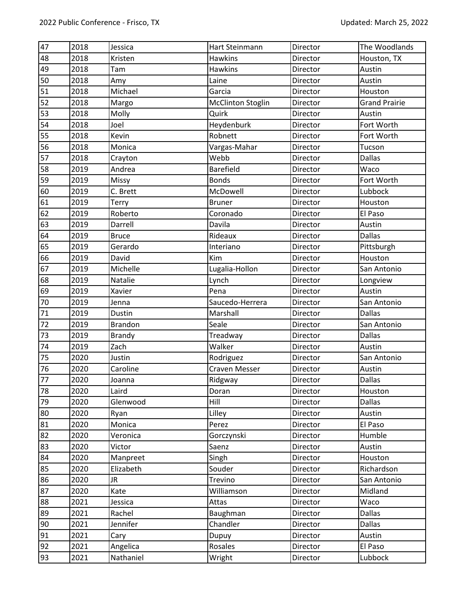| 47     | 2018 | Jessica        | Hart Steinmann           | Director | The Woodlands        |
|--------|------|----------------|--------------------------|----------|----------------------|
| 48     | 2018 | Kristen        | Hawkins                  | Director | Houston, TX          |
| 49     | 2018 | Tam            | <b>Hawkins</b>           | Director | Austin               |
| 50     | 2018 | Amy            | Laine                    | Director | Austin               |
| 51     | 2018 | Michael        | Garcia                   | Director | Houston              |
| 52     | 2018 | Margo          | <b>McClinton Stoglin</b> | Director | <b>Grand Prairie</b> |
| 53     | 2018 | Molly          | Quirk                    | Director | Austin               |
| 54     | 2018 | Joel           | Heydenburk               | Director | Fort Worth           |
| 55     | 2018 | Kevin          | Robnett                  | Director | Fort Worth           |
| 56     | 2018 | Monica         | Vargas-Mahar             | Director | Tucson               |
| 57     | 2018 | Crayton        | Webb                     | Director | <b>Dallas</b>        |
| 58     | 2019 | Andrea         | <b>Barefield</b>         | Director | Waco                 |
| 59     | 2019 | Missy          | <b>Bonds</b>             | Director | Fort Worth           |
| 60     | 2019 | C. Brett       | McDowell                 | Director | Lubbock              |
| 61     | 2019 | Terry          | <b>Bruner</b>            | Director | Houston              |
| 62     | 2019 | Roberto        | Coronado                 | Director | El Paso              |
| 63     | 2019 | Darrell        | Davila                   | Director | Austin               |
| 64     | 2019 | <b>Bruce</b>   | Rideaux                  | Director | <b>Dallas</b>        |
| 65     | 2019 | Gerardo        | Interiano                | Director | Pittsburgh           |
| 66     | 2019 | David          | Kim                      | Director | Houston              |
| 67     | 2019 | Michelle       | Lugalia-Hollon           | Director | San Antonio          |
| 68     | 2019 | Natalie        | Lynch                    | Director | Longview             |
| 69     | 2019 | Xavier         | Pena                     | Director | Austin               |
| 70     | 2019 | Jenna          | Saucedo-Herrera          | Director | San Antonio          |
| 71     | 2019 | Dustin         | Marshall                 | Director | <b>Dallas</b>        |
| $72\,$ | 2019 | <b>Brandon</b> | Seale                    | Director | San Antonio          |
| 73     | 2019 | <b>Brandy</b>  | Treadway                 | Director | <b>Dallas</b>        |
| 74     | 2019 | Zach           | Walker                   | Director | Austin               |
| 75     | 2020 | Justin         | Rodriguez                | Director | San Antonio          |
| 76     | 2020 | Caroline       | <b>Craven Messer</b>     | Director | Austin               |
| 77     | 2020 | Joanna         | Ridgway                  | Director | <b>Dallas</b>        |
| 78     | 2020 | Laird          | Doran                    | Director | Houston              |
| 79     | 2020 | Glenwood       | Hill                     | Director | <b>Dallas</b>        |
| 80     | 2020 | Ryan           | Lilley                   | Director | Austin               |
| 81     | 2020 | Monica         | Perez                    | Director | El Paso              |
| 82     | 2020 | Veronica       | Gorczynski               | Director | Humble               |
| 83     | 2020 | Victor         | Saenz                    | Director | Austin               |
| 84     | 2020 | Manpreet       | Singh                    | Director | Houston              |
| 85     | 2020 | Elizabeth      | Souder                   | Director | Richardson           |
| 86     | 2020 | JR.            | Trevino                  | Director | San Antonio          |
| 87     | 2020 | Kate           | Williamson               | Director | Midland              |
| 88     | 2021 | Jessica        | Attas                    | Director | Waco                 |
| 89     | 2021 | Rachel         | Baughman                 | Director | <b>Dallas</b>        |
| 90     | 2021 | Jennifer       | Chandler                 | Director | <b>Dallas</b>        |
| 91     | 2021 | Cary           | Dupuy                    | Director | Austin               |
| 92     | 2021 | Angelica       | Rosales                  | Director | El Paso              |
| 93     | 2021 | Nathaniel      | Wright                   | Director | Lubbock              |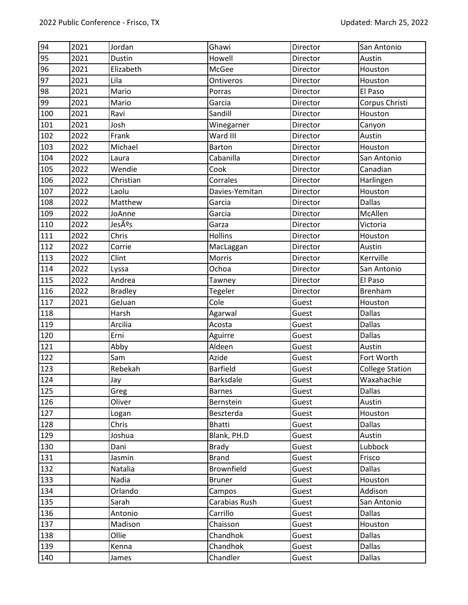| 94  | 2021 | Jordan         | Ghawi             | Director | San Antonio            |
|-----|------|----------------|-------------------|----------|------------------------|
| 95  | 2021 | Dustin         | Howell            | Director | Austin                 |
| 96  | 2021 | Elizabeth      | McGee             | Director | Houston                |
| 97  | 2021 | Lila           | Ontiveros         | Director | Houston                |
| 98  | 2021 | Mario          | Porras            | Director | El Paso                |
| 99  | 2021 | Mario          | Garcia            | Director | Corpus Christi         |
| 100 | 2021 | Ravi           | Sandill           | Director | Houston                |
| 101 | 2021 | Josh           | Winegarner        | Director | Canyon                 |
| 102 | 2022 | Frank          | Ward III          | Director | Austin                 |
| 103 | 2022 | Michael        | Barton            | Director | Houston                |
| 104 | 2022 | Laura          | Cabanilla         | Director | San Antonio            |
| 105 | 2022 | Wendie         | Cook              | Director | Canadian               |
| 106 | 2022 | Christian      | Corrales          | Director | Harlingen              |
| 107 | 2022 | Laolu          | Davies-Yemitan    | Director | Houston                |
| 108 | 2022 | Matthew        | Garcia            | Director | <b>Dallas</b>          |
| 109 | 2022 | JoAnne         | Garcia            | Director | McAllen                |
| 110 | 2022 | Jesús          | Garza             | Director | Victoria               |
| 111 | 2022 | Chris          | <b>Hollins</b>    | Director | Houston                |
| 112 | 2022 | Corrie         | MacLaggan         | Director | Austin                 |
| 113 | 2022 | Clint          | Morris            | Director | Kerrville              |
| 114 | 2022 | Lyssa          | Ochoa             | Director | San Antonio            |
| 115 | 2022 | Andrea         | Tawney            | Director | El Paso                |
| 116 | 2022 | <b>Bradley</b> | <b>Tegeler</b>    | Director | Brenham                |
| 117 | 2021 | GeJuan         | Cole              | Guest    | Houston                |
| 118 |      | Harsh          | Agarwal           | Guest    | <b>Dallas</b>          |
| 119 |      | Arcilia        | Acosta            | Guest    | <b>Dallas</b>          |
| 120 |      | Erni           | Aguirre           | Guest    | <b>Dallas</b>          |
| 121 |      | Abby           | Aldeen            | Guest    | Austin                 |
| 122 |      | Sam            | Azide             | Guest    | Fort Worth             |
| 123 |      | Rebekah        | <b>Barfield</b>   | Guest    | <b>College Station</b> |
| 124 |      | Jay            | Barksdale         | Guest    | Waxahachie             |
| 125 |      | Greg           | <b>Barnes</b>     | Guest    | <b>Dallas</b>          |
| 126 |      | Oliver         | Bernstein         | Guest    | Austin                 |
| 127 |      | Logan          | Beszterda         | Guest    | Houston                |
| 128 |      | Chris          | <b>Bhatti</b>     | Guest    | <b>Dallas</b>          |
| 129 |      | Joshua         | Blank, PH.D       | Guest    | Austin                 |
| 130 |      | Dani           | <b>Brady</b>      | Guest    | Lubbock                |
| 131 |      | Jasmin         | <b>Brand</b>      | Guest    | Frisco                 |
| 132 |      | Natalia        | <b>Brownfield</b> | Guest    | <b>Dallas</b>          |
| 133 |      | Nadia          | <b>Bruner</b>     | Guest    | Houston                |
| 134 |      | Orlando        | Campos            | Guest    | Addison                |
| 135 |      | Sarah          | Carabias Rush     | Guest    | San Antonio            |
| 136 |      | Antonio        | Carrillo          | Guest    | <b>Dallas</b>          |
| 137 |      | Madison        |                   |          |                        |
|     |      |                | Chaisson          | Guest    | Houston                |
| 138 |      | Ollie          | Chandhok          | Guest    | <b>Dallas</b>          |
| 139 |      | Kenna          | Chandhok          | Guest    | <b>Dallas</b>          |
| 140 |      | James          | Chandler          | Guest    | <b>Dallas</b>          |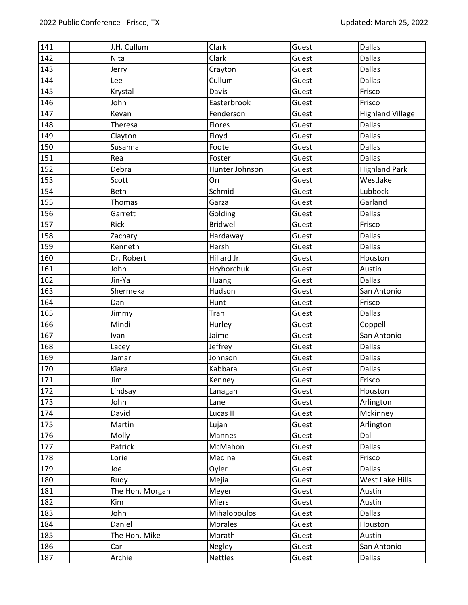| 141 | J.H. Cullum     | Clark           | Guest | <b>Dallas</b>           |
|-----|-----------------|-----------------|-------|-------------------------|
| 142 | Nita            | Clark           | Guest | <b>Dallas</b>           |
| 143 | Jerry           | Crayton         | Guest | <b>Dallas</b>           |
| 144 | Lee             | Cullum          | Guest | <b>Dallas</b>           |
| 145 | Krystal         | Davis           | Guest | Frisco                  |
| 146 | John            | Easterbrook     | Guest | Frisco                  |
| 147 | Kevan           | Fenderson       | Guest | <b>Highland Village</b> |
| 148 | Theresa         | Flores          | Guest | <b>Dallas</b>           |
| 149 | Clayton         | Floyd           | Guest | <b>Dallas</b>           |
| 150 | Susanna         | Foote           | Guest | <b>Dallas</b>           |
| 151 | Rea             | Foster          | Guest | <b>Dallas</b>           |
| 152 | Debra           | Hunter Johnson  | Guest | <b>Highland Park</b>    |
| 153 | Scott           | Orr             | Guest | Westlake                |
| 154 | Beth            | Schmid          | Guest | Lubbock                 |
| 155 | Thomas          | Garza           | Guest | Garland                 |
| 156 | Garrett         | Golding         | Guest | <b>Dallas</b>           |
| 157 | Rick            | <b>Bridwell</b> | Guest | Frisco                  |
| 158 | Zachary         | Hardaway        | Guest | <b>Dallas</b>           |
| 159 | Kenneth         | Hersh           | Guest | <b>Dallas</b>           |
| 160 | Dr. Robert      | Hillard Jr.     | Guest | Houston                 |
| 161 | John            | Hryhorchuk      | Guest | Austin                  |
| 162 | Jin-Ya          | Huang           | Guest | <b>Dallas</b>           |
| 163 | Shermeka        | Hudson          | Guest | San Antonio             |
| 164 | Dan             | Hunt            | Guest | Frisco                  |
| 165 | Jimmy           | Tran            | Guest | <b>Dallas</b>           |
| 166 | Mindi           | Hurley          | Guest | Coppell                 |
| 167 | Ivan            | Jaime           | Guest | San Antonio             |
| 168 | Lacey           | Jeffrey         | Guest | <b>Dallas</b>           |
| 169 | Jamar           | Johnson         | Guest | <b>Dallas</b>           |
| 170 | Kiara           | Kabbara         | Guest | <b>Dallas</b>           |
| 171 | Jim             | Kenney          | Guest | Frisco                  |
| 172 | Lindsay         | Lanagan         | Guest | Houston                 |
| 173 | John            | Lane            | Guest | Arlington               |
| 174 | David           | Lucas II        | Guest | Mckinney                |
| 175 | Martin          | Lujan           | Guest | Arlington               |
| 176 | Molly           | Mannes          | Guest | Dal                     |
| 177 | Patrick         | McMahon         | Guest | <b>Dallas</b>           |
| 178 | Lorie           | Medina          | Guest | Frisco                  |
| 179 | Joe             | Oyler           | Guest | <b>Dallas</b>           |
| 180 | Rudy            | Mejia           | Guest | West Lake Hills         |
| 181 | The Hon. Morgan | Meyer           | Guest | Austin                  |
| 182 | Kim             | Miers           | Guest | Austin                  |
| 183 | John            | Mihalopoulos    | Guest | <b>Dallas</b>           |
| 184 | Daniel          | Morales         | Guest | Houston                 |
| 185 | The Hon. Mike   | Morath          | Guest | Austin                  |
| 186 | Carl            | Negley          | Guest | San Antonio             |
| 187 | Archie          | <b>Nettles</b>  | Guest | <b>Dallas</b>           |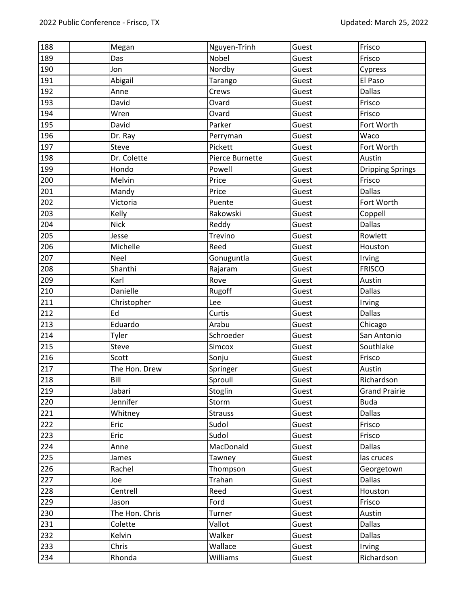| 188 | Megan          | Nguyen-Trinh    | Guest | Frisco                  |
|-----|----------------|-----------------|-------|-------------------------|
| 189 | Das            | Nobel           | Guest | Frisco                  |
| 190 | Jon            | Nordby          | Guest | Cypress                 |
| 191 | Abigail        | Tarango         | Guest | El Paso                 |
| 192 | Anne           | Crews           | Guest | <b>Dallas</b>           |
| 193 | David          | Ovard           | Guest | Frisco                  |
| 194 | Wren           | Ovard           | Guest | Frisco                  |
| 195 | David          | Parker          | Guest | Fort Worth              |
| 196 | Dr. Ray        | Perryman        | Guest | Waco                    |
| 197 | <b>Steve</b>   | Pickett         | Guest | Fort Worth              |
| 198 | Dr. Colette    | Pierce Burnette | Guest | Austin                  |
| 199 | Hondo          | Powell          | Guest | <b>Dripping Springs</b> |
| 200 | Melvin         | Price           | Guest | Frisco                  |
| 201 | Mandy          | Price           | Guest | <b>Dallas</b>           |
| 202 | Victoria       | Puente          | Guest | Fort Worth              |
| 203 | Kelly          | Rakowski        | Guest | Coppell                 |
| 204 | <b>Nick</b>    | Reddy           | Guest | <b>Dallas</b>           |
| 205 | Jesse          | Trevino         | Guest | Rowlett                 |
| 206 | Michelle       | Reed            | Guest | Houston                 |
| 207 | Neel           | Gonuguntla      | Guest | Irving                  |
| 208 | Shanthi        | Rajaram         | Guest | <b>FRISCO</b>           |
| 209 | Karl           | Rove            | Guest | Austin                  |
| 210 | Danielle       | Rugoff          | Guest | <b>Dallas</b>           |
| 211 | Christopher    | Lee             | Guest | Irving                  |
| 212 | Ed             | Curtis          | Guest | <b>Dallas</b>           |
| 213 | Eduardo        | Arabu           | Guest | Chicago                 |
| 214 | Tyler          | Schroeder       | Guest | San Antonio             |
| 215 | Steve          | Simcox          | Guest | Southlake               |
| 216 | Scott          | Sonju           | Guest | Frisco                  |
| 217 | The Hon. Drew  | Springer        | Guest | Austin                  |
| 218 | Bill           | Sproull         | Guest | Richardson              |
| 219 | Jabari         | Stoglin         | Guest | <b>Grand Prairie</b>    |
| 220 | Jennifer       | Storm           | Guest | <b>Buda</b>             |
| 221 | Whitney        | <b>Strauss</b>  | Guest | <b>Dallas</b>           |
| 222 | Eric           | Sudol           | Guest | Frisco                  |
| 223 | Eric           | Sudol           | Guest | Frisco                  |
| 224 | Anne           | MacDonald       | Guest | <b>Dallas</b>           |
| 225 | James          | Tawney          | Guest | las cruces              |
| 226 | Rachel         | Thompson        | Guest | Georgetown              |
| 227 | Joe            | Trahan          | Guest | <b>Dallas</b>           |
| 228 | Centrell       | Reed            | Guest | Houston                 |
| 229 | Jason          | Ford            | Guest | Frisco                  |
| 230 | The Hon. Chris | Turner          | Guest | Austin                  |
| 231 | Colette        | Vallot          | Guest | <b>Dallas</b>           |
| 232 | Kelvin         | Walker          | Guest | <b>Dallas</b>           |
| 233 | Chris          | Wallace         | Guest | Irving                  |
| 234 | Rhonda         | Williams        | Guest | Richardson              |